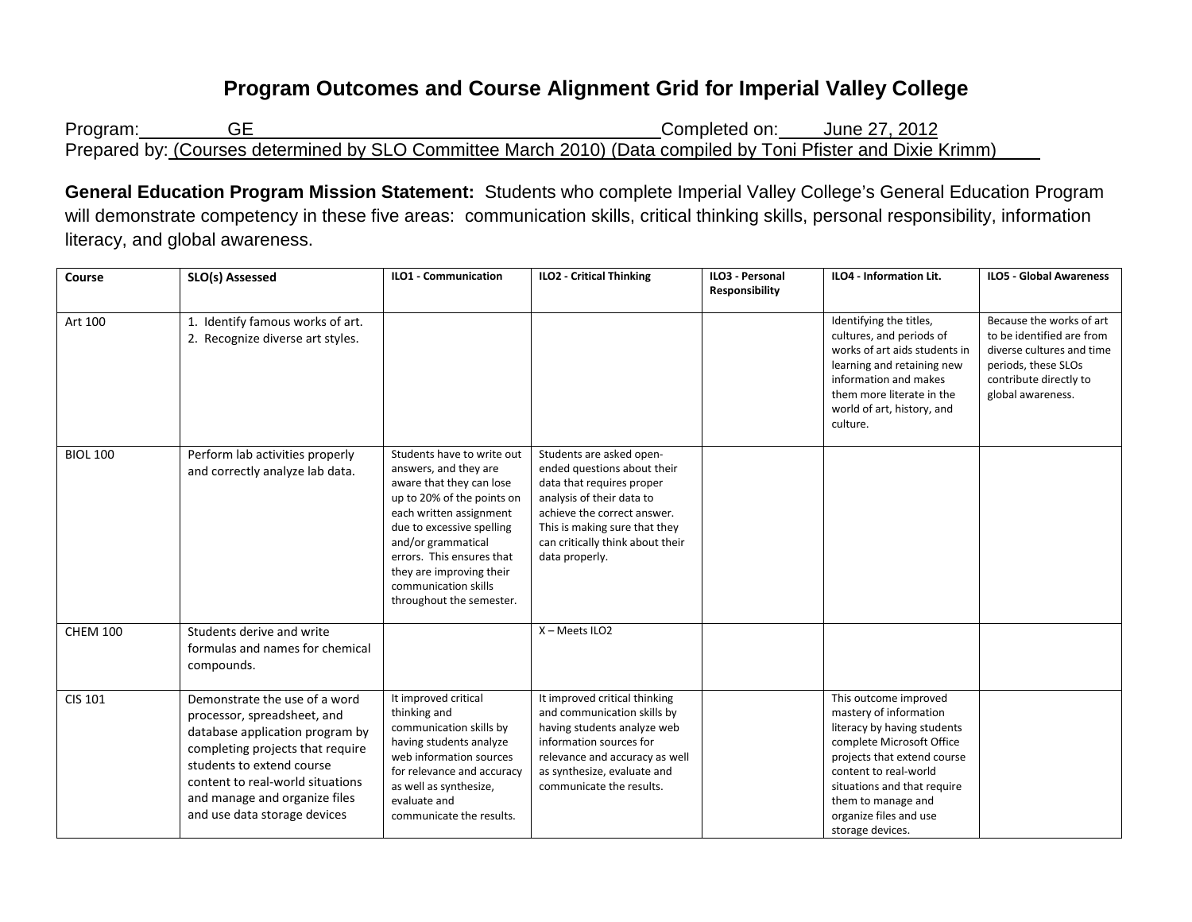## **Program Outcomes and Course Alignment Grid for Imperial Valley College**

Program: GE Completed on: June 27, 2012 Prepared by: (Courses determined by SLO Committee March 2010) (Data compiled by Toni Pfister and Dixie Krimm)

**General Education Program Mission Statement:** Students who complete Imperial Valley College's General Education Program will demonstrate competency in these five areas: communication skills, critical thinking skills, personal responsibility, information literacy, and global awareness.

| Course          | SLO(s) Assessed                                                                                                                                                                                                                                                       | <b>ILO1 - Communication</b>                                                                                                                                                                                                                                                                              | <b>ILO2 - Critical Thinking</b>                                                                                                                                                                                                         | ILO3 - Personal<br>Responsibility | ILO4 - Information Lit.                                                                                                                                                                                                                                                | <b>ILO5 - Global Awareness</b>                                                                                                                           |
|-----------------|-----------------------------------------------------------------------------------------------------------------------------------------------------------------------------------------------------------------------------------------------------------------------|----------------------------------------------------------------------------------------------------------------------------------------------------------------------------------------------------------------------------------------------------------------------------------------------------------|-----------------------------------------------------------------------------------------------------------------------------------------------------------------------------------------------------------------------------------------|-----------------------------------|------------------------------------------------------------------------------------------------------------------------------------------------------------------------------------------------------------------------------------------------------------------------|----------------------------------------------------------------------------------------------------------------------------------------------------------|
| Art 100         | 1. Identify famous works of art.<br>2. Recognize diverse art styles.                                                                                                                                                                                                  |                                                                                                                                                                                                                                                                                                          |                                                                                                                                                                                                                                         |                                   | Identifying the titles,<br>cultures, and periods of<br>works of art aids students in<br>learning and retaining new<br>information and makes<br>them more literate in the<br>world of art, history, and<br>culture.                                                     | Because the works of art<br>to be identified are from<br>diverse cultures and time<br>periods, these SLOs<br>contribute directly to<br>global awareness. |
| <b>BIOL 100</b> | Perform lab activities properly<br>and correctly analyze lab data.                                                                                                                                                                                                    | Students have to write out<br>answers, and they are<br>aware that they can lose<br>up to 20% of the points on<br>each written assignment<br>due to excessive spelling<br>and/or grammatical<br>errors. This ensures that<br>they are improving their<br>communication skills<br>throughout the semester. | Students are asked open-<br>ended questions about their<br>data that requires proper<br>analysis of their data to<br>achieve the correct answer.<br>This is making sure that they<br>can critically think about their<br>data properly. |                                   |                                                                                                                                                                                                                                                                        |                                                                                                                                                          |
| <b>CHEM 100</b> | Students derive and write<br>formulas and names for chemical<br>compounds.                                                                                                                                                                                            |                                                                                                                                                                                                                                                                                                          | X - Meets ILO2                                                                                                                                                                                                                          |                                   |                                                                                                                                                                                                                                                                        |                                                                                                                                                          |
| <b>CIS 101</b>  | Demonstrate the use of a word<br>processor, spreadsheet, and<br>database application program by<br>completing projects that require<br>students to extend course<br>content to real-world situations<br>and manage and organize files<br>and use data storage devices | It improved critical<br>thinking and<br>communication skills by<br>having students analyze<br>web information sources<br>for relevance and accuracy<br>as well as synthesize,<br>evaluate and<br>communicate the results.                                                                                | It improved critical thinking<br>and communication skills by<br>having students analyze web<br>information sources for<br>relevance and accuracy as well<br>as synthesize, evaluate and<br>communicate the results.                     |                                   | This outcome improved<br>mastery of information<br>literacy by having students<br>complete Microsoft Office<br>projects that extend course<br>content to real-world<br>situations and that require<br>them to manage and<br>organize files and use<br>storage devices. |                                                                                                                                                          |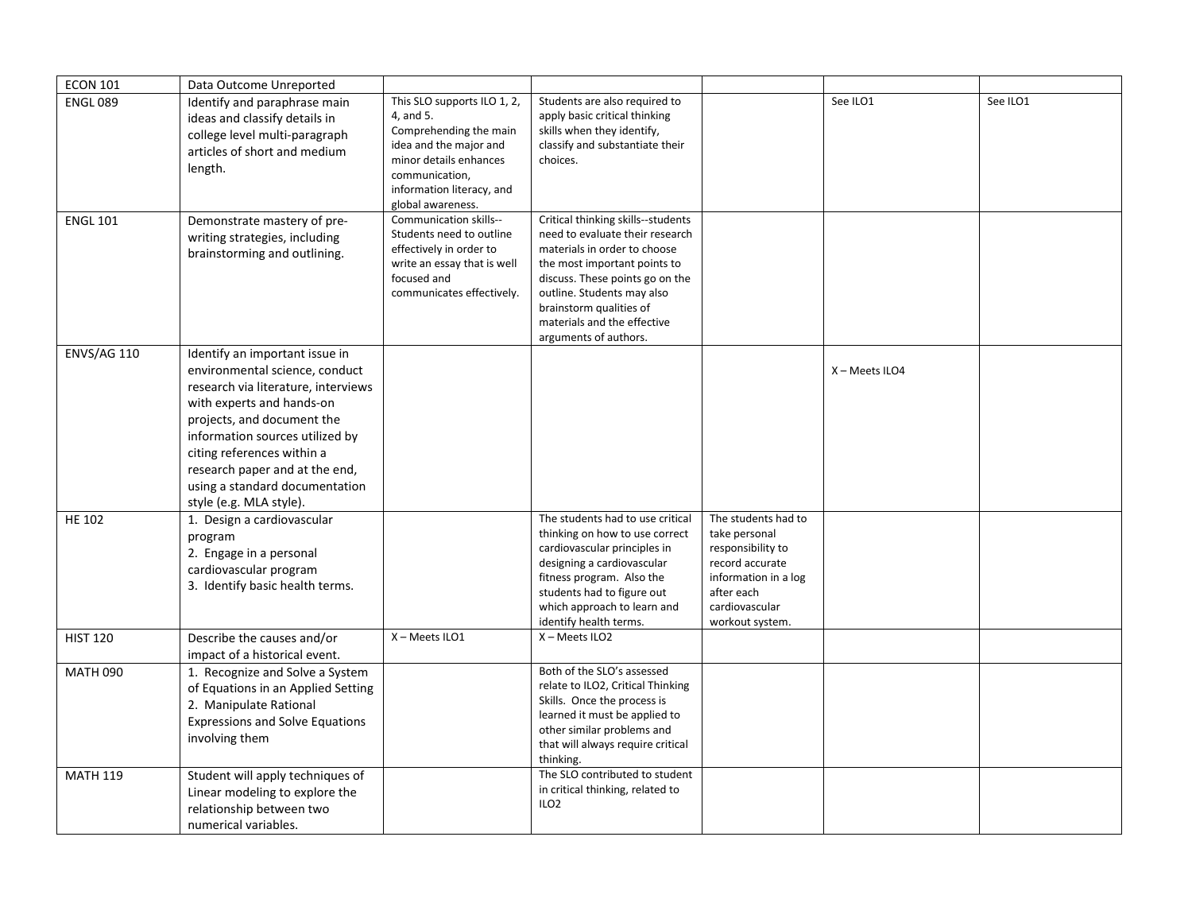| <b>ECON 101</b>    | Data Outcome Unreported                                                                                                                                                                                                                                                                                                            |                                                                                                                                                                                            |                                                                                                                                                                                                                                                                                           |                                                                                                                                                         |                |          |
|--------------------|------------------------------------------------------------------------------------------------------------------------------------------------------------------------------------------------------------------------------------------------------------------------------------------------------------------------------------|--------------------------------------------------------------------------------------------------------------------------------------------------------------------------------------------|-------------------------------------------------------------------------------------------------------------------------------------------------------------------------------------------------------------------------------------------------------------------------------------------|---------------------------------------------------------------------------------------------------------------------------------------------------------|----------------|----------|
| <b>ENGL 089</b>    | Identify and paraphrase main<br>ideas and classify details in<br>college level multi-paragraph<br>articles of short and medium<br>length.                                                                                                                                                                                          | This SLO supports ILO 1, 2,<br>4, and 5.<br>Comprehending the main<br>idea and the major and<br>minor details enhances<br>communication,<br>information literacy, and<br>global awareness. | Students are also required to<br>apply basic critical thinking<br>skills when they identify,<br>classify and substantiate their<br>choices.                                                                                                                                               |                                                                                                                                                         | See ILO1       | See ILO1 |
| <b>ENGL 101</b>    | Demonstrate mastery of pre-<br>writing strategies, including<br>brainstorming and outlining.                                                                                                                                                                                                                                       | Communication skills--<br>Students need to outline<br>effectively in order to<br>write an essay that is well<br>focused and<br>communicates effectively.                                   | Critical thinking skills--students<br>need to evaluate their research<br>materials in order to choose<br>the most important points to<br>discuss. These points go on the<br>outline. Students may also<br>brainstorm qualities of<br>materials and the effective<br>arguments of authors. |                                                                                                                                                         |                |          |
| <b>ENVS/AG 110</b> | Identify an important issue in<br>environmental science, conduct<br>research via literature, interviews<br>with experts and hands-on<br>projects, and document the<br>information sources utilized by<br>citing references within a<br>research paper and at the end,<br>using a standard documentation<br>style (e.g. MLA style). |                                                                                                                                                                                            |                                                                                                                                                                                                                                                                                           |                                                                                                                                                         | X - Meets ILO4 |          |
| <b>HE 102</b>      | 1. Design a cardiovascular<br>program<br>2. Engage in a personal<br>cardiovascular program<br>3. Identify basic health terms.                                                                                                                                                                                                      |                                                                                                                                                                                            | The students had to use critical<br>thinking on how to use correct<br>cardiovascular principles in<br>designing a cardiovascular<br>fitness program. Also the<br>students had to figure out<br>which approach to learn and<br>identify health terms.                                      | The students had to<br>take personal<br>responsibility to<br>record accurate<br>information in a log<br>after each<br>cardiovascular<br>workout system. |                |          |
| <b>HIST 120</b>    | Describe the causes and/or<br>impact of a historical event.                                                                                                                                                                                                                                                                        | X-Meets ILO1                                                                                                                                                                               | X - Meets ILO2                                                                                                                                                                                                                                                                            |                                                                                                                                                         |                |          |
| <b>MATH 090</b>    | 1. Recognize and Solve a System<br>of Equations in an Applied Setting<br>2. Manipulate Rational<br><b>Expressions and Solve Equations</b><br>involving them                                                                                                                                                                        |                                                                                                                                                                                            | Both of the SLO's assessed<br>relate to ILO2, Critical Thinking<br>Skills. Once the process is<br>learned it must be applied to<br>other similar problems and<br>that will always require critical<br>thinking.                                                                           |                                                                                                                                                         |                |          |
| <b>MATH 119</b>    | Student will apply techniques of<br>Linear modeling to explore the<br>relationship between two<br>numerical variables.                                                                                                                                                                                                             |                                                                                                                                                                                            | The SLO contributed to student<br>in critical thinking, related to<br>ILO <sub>2</sub>                                                                                                                                                                                                    |                                                                                                                                                         |                |          |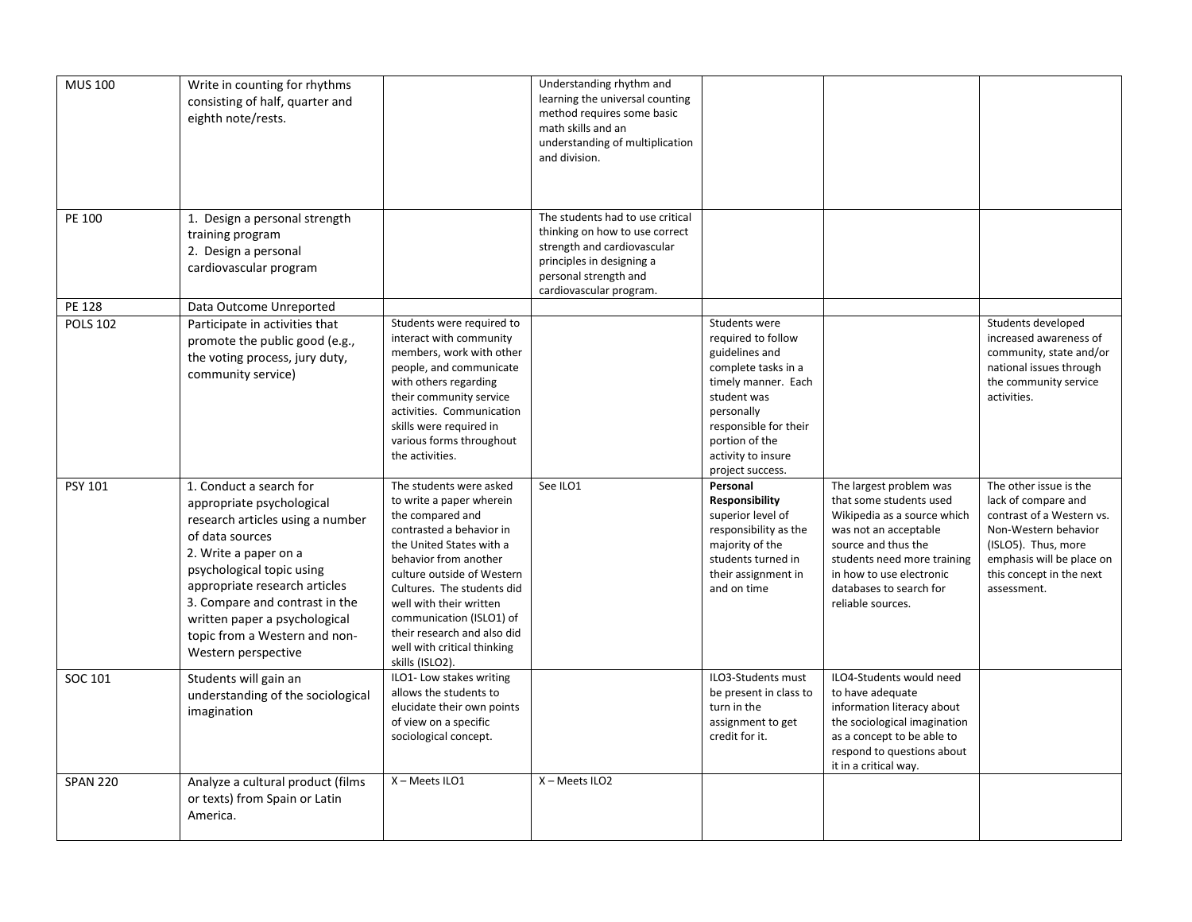| <b>MUS 100</b>  | Write in counting for rhythms<br>consisting of half, quarter and<br>eighth note/rests.                                                                                                                                                                                                                                        |                                                                                                                                                                                                                                                                                                                                                              | Understanding rhythm and<br>learning the universal counting<br>method requires some basic<br>math skills and an<br>understanding of multiplication<br>and division.                |                                                                                                                                                                                                                       |                                                                                                                                                                                                                                              |                                                                                                                                                                                                   |
|-----------------|-------------------------------------------------------------------------------------------------------------------------------------------------------------------------------------------------------------------------------------------------------------------------------------------------------------------------------|--------------------------------------------------------------------------------------------------------------------------------------------------------------------------------------------------------------------------------------------------------------------------------------------------------------------------------------------------------------|------------------------------------------------------------------------------------------------------------------------------------------------------------------------------------|-----------------------------------------------------------------------------------------------------------------------------------------------------------------------------------------------------------------------|----------------------------------------------------------------------------------------------------------------------------------------------------------------------------------------------------------------------------------------------|---------------------------------------------------------------------------------------------------------------------------------------------------------------------------------------------------|
| PE 100          | 1. Design a personal strength<br>training program<br>2. Design a personal<br>cardiovascular program                                                                                                                                                                                                                           |                                                                                                                                                                                                                                                                                                                                                              | The students had to use critical<br>thinking on how to use correct<br>strength and cardiovascular<br>principles in designing a<br>personal strength and<br>cardiovascular program. |                                                                                                                                                                                                                       |                                                                                                                                                                                                                                              |                                                                                                                                                                                                   |
| PE 128          | Data Outcome Unreported                                                                                                                                                                                                                                                                                                       |                                                                                                                                                                                                                                                                                                                                                              |                                                                                                                                                                                    |                                                                                                                                                                                                                       |                                                                                                                                                                                                                                              |                                                                                                                                                                                                   |
| <b>POLS 102</b> | Participate in activities that<br>promote the public good (e.g.,<br>the voting process, jury duty,<br>community service)                                                                                                                                                                                                      | Students were required to<br>interact with community<br>members, work with other<br>people, and communicate<br>with others regarding<br>their community service<br>activities. Communication<br>skills were required in<br>various forms throughout<br>the activities.                                                                                       |                                                                                                                                                                                    | Students were<br>required to follow<br>guidelines and<br>complete tasks in a<br>timely manner. Each<br>student was<br>personally<br>responsible for their<br>portion of the<br>activity to insure<br>project success. |                                                                                                                                                                                                                                              | Students developed<br>increased awareness of<br>community, state and/or<br>national issues through<br>the community service<br>activities.                                                        |
| PSY 101         | 1. Conduct a search for<br>appropriate psychological<br>research articles using a number<br>of data sources<br>2. Write a paper on a<br>psychological topic using<br>appropriate research articles<br>3. Compare and contrast in the<br>written paper a psychological<br>topic from a Western and non-<br>Western perspective | The students were asked<br>to write a paper wherein<br>the compared and<br>contrasted a behavior in<br>the United States with a<br>behavior from another<br>culture outside of Western<br>Cultures. The students did<br>well with their written<br>communication (ISLO1) of<br>their research and also did<br>well with critical thinking<br>skills (ISLO2). | See ILO1                                                                                                                                                                           | Personal<br>Responsibility<br>superior level of<br>responsibility as the<br>majority of the<br>students turned in<br>their assignment in<br>and on time                                                               | The largest problem was<br>that some students used<br>Wikipedia as a source which<br>was not an acceptable<br>source and thus the<br>students need more training<br>in how to use electronic<br>databases to search for<br>reliable sources. | The other issue is the<br>lack of compare and<br>contrast of a Western vs.<br>Non-Western behavior<br>(ISLO5). Thus, more<br>emphasis will be place on<br>this concept in the next<br>assessment. |
| SOC 101         | Students will gain an<br>understanding of the sociological<br>imagination                                                                                                                                                                                                                                                     | ILO1- Low stakes writing<br>allows the students to<br>elucidate their own points<br>of view on a specific<br>sociological concept.                                                                                                                                                                                                                           |                                                                                                                                                                                    | ILO3-Students must<br>be present in class to<br>turn in the<br>assignment to get<br>credit for it.                                                                                                                    | ILO4-Students would need<br>to have adequate<br>information literacy about<br>the sociological imagination<br>as a concept to be able to<br>respond to questions about<br>it in a critical way.                                              |                                                                                                                                                                                                   |
| <b>SPAN 220</b> | Analyze a cultural product (films<br>or texts) from Spain or Latin<br>America.                                                                                                                                                                                                                                                | X-Meets ILO1                                                                                                                                                                                                                                                                                                                                                 | X - Meets ILO2                                                                                                                                                                     |                                                                                                                                                                                                                       |                                                                                                                                                                                                                                              |                                                                                                                                                                                                   |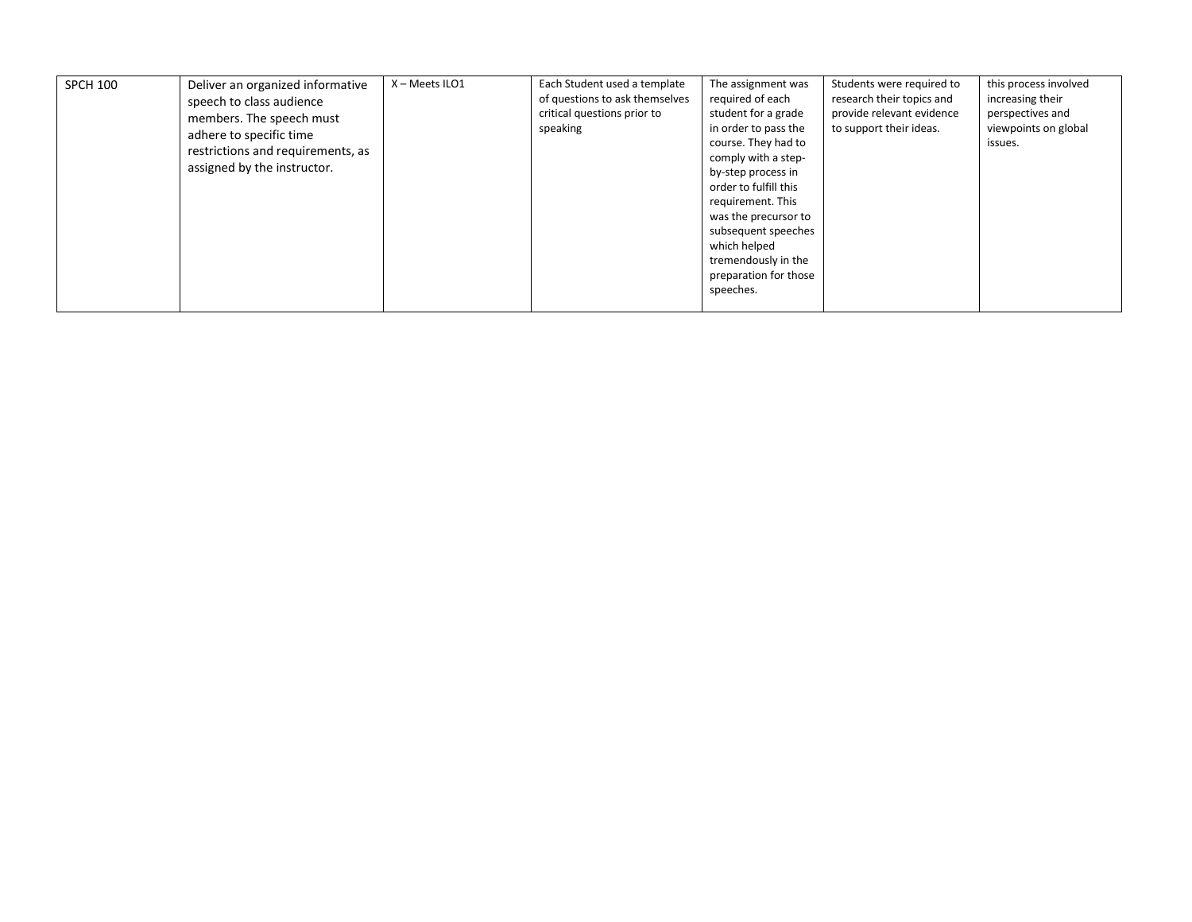| <b>SPCH 100</b> | Deliver an organized informative<br>speech to class audience<br>members. The speech must<br>adhere to specific time<br>restrictions and requirements, as<br>assigned by the instructor. | X - Meets ILO1 | Each Student used a template<br>of questions to ask themselves<br>critical questions prior to<br>speaking | The assignment was<br>required of each<br>student for a grade<br>in order to pass the<br>course. They had to<br>comply with a step-<br>by-step process in<br>order to fulfill this<br>requirement. This<br>was the precursor to<br>subsequent speeches<br>which helped<br>tremendously in the<br>preparation for those<br>speeches. | Students were required to<br>research their topics and<br>provide relevant evidence<br>to support their ideas. | this process involved<br>increasing their<br>perspectives and<br>viewpoints on global<br>issues. |
|-----------------|-----------------------------------------------------------------------------------------------------------------------------------------------------------------------------------------|----------------|-----------------------------------------------------------------------------------------------------------|-------------------------------------------------------------------------------------------------------------------------------------------------------------------------------------------------------------------------------------------------------------------------------------------------------------------------------------|----------------------------------------------------------------------------------------------------------------|--------------------------------------------------------------------------------------------------|
|-----------------|-----------------------------------------------------------------------------------------------------------------------------------------------------------------------------------------|----------------|-----------------------------------------------------------------------------------------------------------|-------------------------------------------------------------------------------------------------------------------------------------------------------------------------------------------------------------------------------------------------------------------------------------------------------------------------------------|----------------------------------------------------------------------------------------------------------------|--------------------------------------------------------------------------------------------------|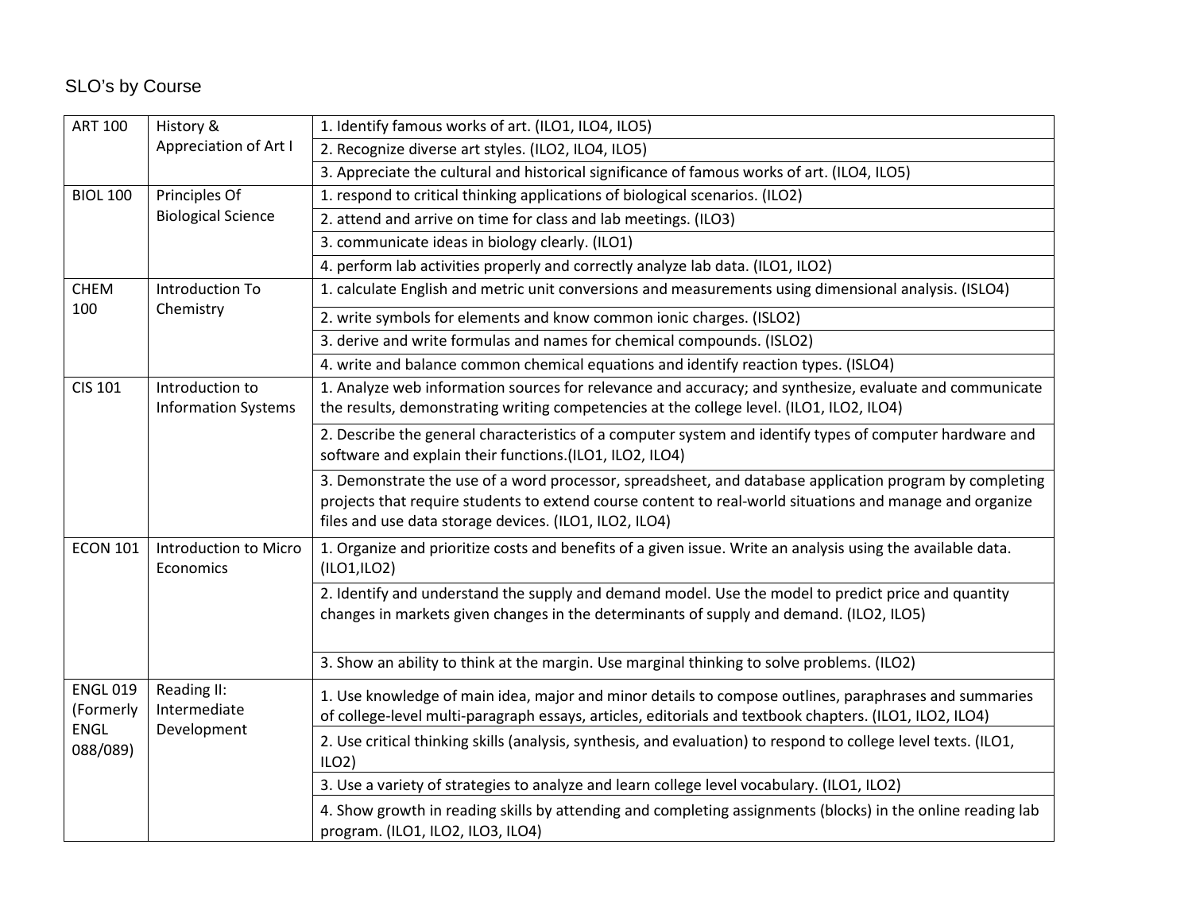## SLO's by Course

| <b>ART 100</b>                   | History &                                     | 1. Identify famous works of art. (ILO1, ILO4, ILO5)                                                                                                                                                                                                                           |
|----------------------------------|-----------------------------------------------|-------------------------------------------------------------------------------------------------------------------------------------------------------------------------------------------------------------------------------------------------------------------------------|
|                                  | Appreciation of Art I                         | 2. Recognize diverse art styles. (ILO2, ILO4, ILO5)                                                                                                                                                                                                                           |
|                                  |                                               | 3. Appreciate the cultural and historical significance of famous works of art. (ILO4, ILO5)                                                                                                                                                                                   |
| <b>BIOL 100</b><br>Principles Of |                                               | 1. respond to critical thinking applications of biological scenarios. (ILO2)                                                                                                                                                                                                  |
|                                  | <b>Biological Science</b>                     | 2. attend and arrive on time for class and lab meetings. (ILO3)                                                                                                                                                                                                               |
|                                  |                                               | 3. communicate ideas in biology clearly. (ILO1)                                                                                                                                                                                                                               |
|                                  |                                               | 4. perform lab activities properly and correctly analyze lab data. (ILO1, ILO2)                                                                                                                                                                                               |
| <b>CHEM</b>                      | Introduction To                               | 1. calculate English and metric unit conversions and measurements using dimensional analysis. (ISLO4)                                                                                                                                                                         |
| 100                              | Chemistry                                     | 2. write symbols for elements and know common ionic charges. (ISLO2)                                                                                                                                                                                                          |
|                                  |                                               | 3. derive and write formulas and names for chemical compounds. (ISLO2)                                                                                                                                                                                                        |
|                                  |                                               | 4. write and balance common chemical equations and identify reaction types. (ISLO4)                                                                                                                                                                                           |
| <b>CIS 101</b>                   | Introduction to<br><b>Information Systems</b> | 1. Analyze web information sources for relevance and accuracy; and synthesize, evaluate and communicate<br>the results, demonstrating writing competencies at the college level. (ILO1, ILO2, ILO4)                                                                           |
|                                  |                                               | 2. Describe the general characteristics of a computer system and identify types of computer hardware and<br>software and explain their functions.(ILO1, ILO2, ILO4)                                                                                                           |
|                                  |                                               | 3. Demonstrate the use of a word processor, spreadsheet, and database application program by completing<br>projects that require students to extend course content to real-world situations and manage and organize<br>files and use data storage devices. (ILO1, ILO2, ILO4) |
| <b>ECON 101</b>                  | Introduction to Micro<br>Economics            | 1. Organize and prioritize costs and benefits of a given issue. Write an analysis using the available data.<br>(ILO1, ILO2)                                                                                                                                                   |
|                                  |                                               | 2. Identify and understand the supply and demand model. Use the model to predict price and quantity<br>changes in markets given changes in the determinants of supply and demand. (ILO2, ILO5)                                                                                |
|                                  |                                               | 3. Show an ability to think at the margin. Use marginal thinking to solve problems. (ILO2)                                                                                                                                                                                    |
| <b>ENGL 019</b><br>(Formerly     | Reading II:<br>Intermediate                   | 1. Use knowledge of main idea, major and minor details to compose outlines, paraphrases and summaries<br>of college-level multi-paragraph essays, articles, editorials and textbook chapters. (ILO1, ILO2, ILO4)                                                              |
| <b>ENGL</b><br>088/089)          | Development                                   | 2. Use critical thinking skills (analysis, synthesis, and evaluation) to respond to college level texts. (ILO1,<br>ILO2                                                                                                                                                       |
|                                  |                                               | 3. Use a variety of strategies to analyze and learn college level vocabulary. (ILO1, ILO2)                                                                                                                                                                                    |
|                                  |                                               | 4. Show growth in reading skills by attending and completing assignments (blocks) in the online reading lab<br>program. (ILO1, ILO2, ILO3, ILO4)                                                                                                                              |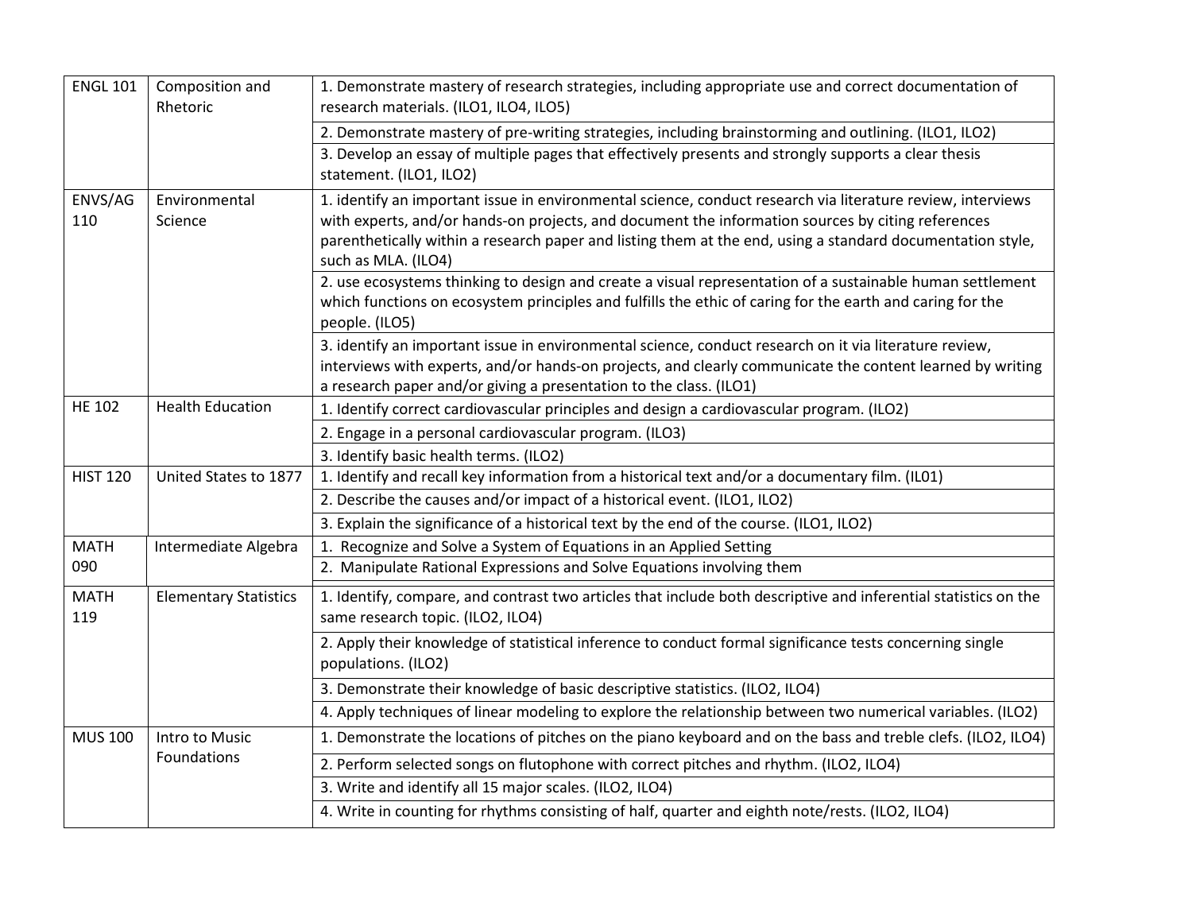| <b>ENGL 101</b>    | Composition and<br>Rhetoric  | 1. Demonstrate mastery of research strategies, including appropriate use and correct documentation of<br>research materials. (ILO1, ILO4, ILO5)                                                                                                                                                                                                       |  |  |  |  |
|--------------------|------------------------------|-------------------------------------------------------------------------------------------------------------------------------------------------------------------------------------------------------------------------------------------------------------------------------------------------------------------------------------------------------|--|--|--|--|
|                    |                              | 2. Demonstrate mastery of pre-writing strategies, including brainstorming and outlining. (ILO1, ILO2)                                                                                                                                                                                                                                                 |  |  |  |  |
|                    |                              | 3. Develop an essay of multiple pages that effectively presents and strongly supports a clear thesis<br>statement. (ILO1, ILO2)                                                                                                                                                                                                                       |  |  |  |  |
| ENVS/AG<br>110     | Environmental<br>Science     | 1. identify an important issue in environmental science, conduct research via literature review, interviews<br>with experts, and/or hands-on projects, and document the information sources by citing references<br>parenthetically within a research paper and listing them at the end, using a standard documentation style,<br>such as MLA. (ILO4) |  |  |  |  |
|                    |                              | 2. use ecosystems thinking to design and create a visual representation of a sustainable human settlement<br>which functions on ecosystem principles and fulfills the ethic of caring for the earth and caring for the<br>people. (ILO5)                                                                                                              |  |  |  |  |
|                    |                              | 3. identify an important issue in environmental science, conduct research on it via literature review,<br>interviews with experts, and/or hands-on projects, and clearly communicate the content learned by writing<br>a research paper and/or giving a presentation to the class. (ILO1)                                                             |  |  |  |  |
| <b>HE 102</b>      | <b>Health Education</b>      | 1. Identify correct cardiovascular principles and design a cardiovascular program. (ILO2)                                                                                                                                                                                                                                                             |  |  |  |  |
|                    |                              | 2. Engage in a personal cardiovascular program. (ILO3)                                                                                                                                                                                                                                                                                                |  |  |  |  |
|                    |                              | 3. Identify basic health terms. (ILO2)                                                                                                                                                                                                                                                                                                                |  |  |  |  |
| <b>HIST 120</b>    | United States to 1877        | 1. Identify and recall key information from a historical text and/or a documentary film. (ILO1)                                                                                                                                                                                                                                                       |  |  |  |  |
|                    |                              | 2. Describe the causes and/or impact of a historical event. (ILO1, ILO2)                                                                                                                                                                                                                                                                              |  |  |  |  |
|                    |                              | 3. Explain the significance of a historical text by the end of the course. (ILO1, ILO2)                                                                                                                                                                                                                                                               |  |  |  |  |
| <b>MATH</b>        | Intermediate Algebra         | 1. Recognize and Solve a System of Equations in an Applied Setting                                                                                                                                                                                                                                                                                    |  |  |  |  |
| 090                |                              | 2. Manipulate Rational Expressions and Solve Equations involving them                                                                                                                                                                                                                                                                                 |  |  |  |  |
| <b>MATH</b><br>119 | <b>Elementary Statistics</b> | 1. Identify, compare, and contrast two articles that include both descriptive and inferential statistics on the<br>same research topic. (ILO2, ILO4)                                                                                                                                                                                                  |  |  |  |  |
|                    |                              | 2. Apply their knowledge of statistical inference to conduct formal significance tests concerning single<br>populations. (ILO2)                                                                                                                                                                                                                       |  |  |  |  |
|                    |                              | 3. Demonstrate their knowledge of basic descriptive statistics. (ILO2, ILO4)                                                                                                                                                                                                                                                                          |  |  |  |  |
|                    |                              | 4. Apply techniques of linear modeling to explore the relationship between two numerical variables. (ILO2)                                                                                                                                                                                                                                            |  |  |  |  |
| <b>MUS 100</b>     | Intro to Music               | 1. Demonstrate the locations of pitches on the piano keyboard and on the bass and treble clefs. (ILO2, ILO4)                                                                                                                                                                                                                                          |  |  |  |  |
| Foundations        |                              | 2. Perform selected songs on flutophone with correct pitches and rhythm. (ILO2, ILO4)                                                                                                                                                                                                                                                                 |  |  |  |  |
|                    |                              | 3. Write and identify all 15 major scales. (ILO2, ILO4)                                                                                                                                                                                                                                                                                               |  |  |  |  |
|                    |                              | 4. Write in counting for rhythms consisting of half, quarter and eighth note/rests. (ILO2, ILO4)                                                                                                                                                                                                                                                      |  |  |  |  |